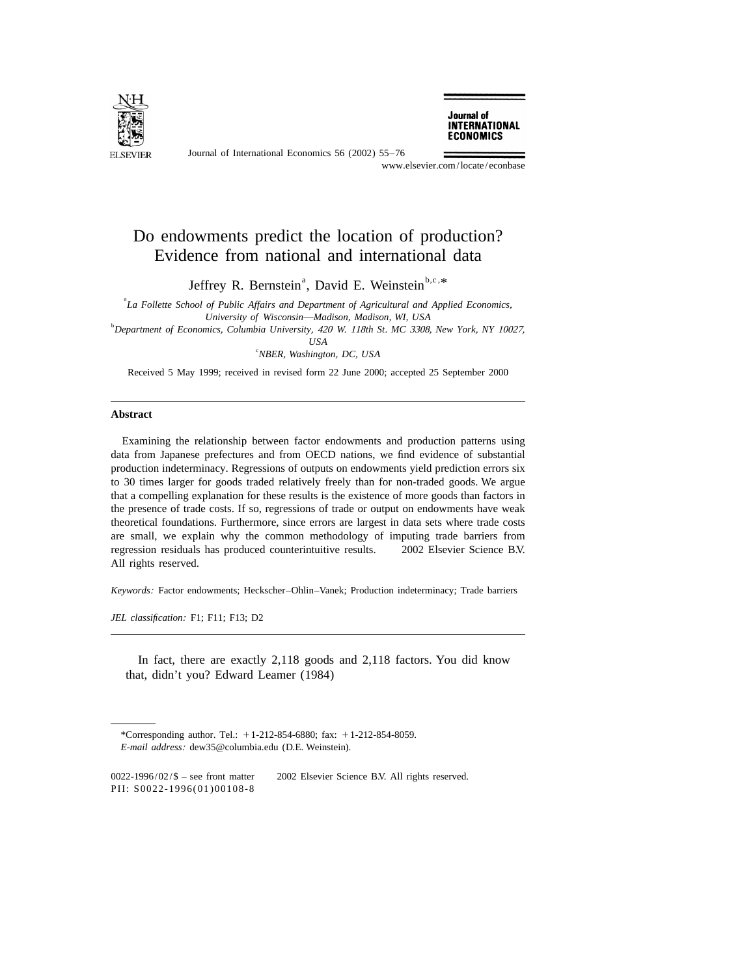

Journal of International Economics 56 (2002) 55–76

Journal of **INTERNATIONAL ECONOMICS** 

www.elsevier.com/locate/econbase

# Do endowments predict the location of production? Evidence from national and international data

Jeffrey R. Bernstein<sup>a</sup>, David E. Weinstein<sup>b,c,\*</sup>

a *La Follette School of Public Affairs and Department of Agricultural and Applied Economics*, *University of Wisconsin*—*Madison*, *Madison*, *WI*, *USA* b *Department of Economics*, *Columbia University*, <sup>420</sup> *W*. <sup>118</sup>*th St*. *MC* 3308, *New York*, *NY* 10027,

*USA*

c *NBER*, *Washington*, *DC*, *USA*

Received 5 May 1999; received in revised form 22 June 2000; accepted 25 September 2000

### **Abstract**

Examining the relationship between factor endowments and production patterns using data from Japanese prefectures and from OECD nations, we find evidence of substantial production indeterminacy. Regressions of outputs on endowments yield prediction errors six to 30 times larger for goods traded relatively freely than for non-traded goods. We argue that a compelling explanation for these results is the existence of more goods than factors in the presence of trade costs. If so, regressions of trade or output on endowments have weak theoretical foundations. Furthermore, since errors are largest in data sets where trade costs are small, we explain why the common methodology of imputing trade barriers from regression residuals has produced counterintuitive results.  $\circ$  2002 Elsevier Science B.V. All rights reserved.

*Keywords*: Factor endowments; Heckscher–Ohlin–Vanek; Production indeterminacy; Trade barriers

*JEL classification*: F1; F11; F13; D2

In fact, there are exactly 2,118 goods and 2,118 factors. You did know that, didn't you? Edward Leamer (1984)

\*Corresponding author. Tel.:  $+1-212-854-6880$ ; fax:  $+1-212-854-8059$ . *E*-*mail address*: dew35@columbia.edu (D.E. Weinstein).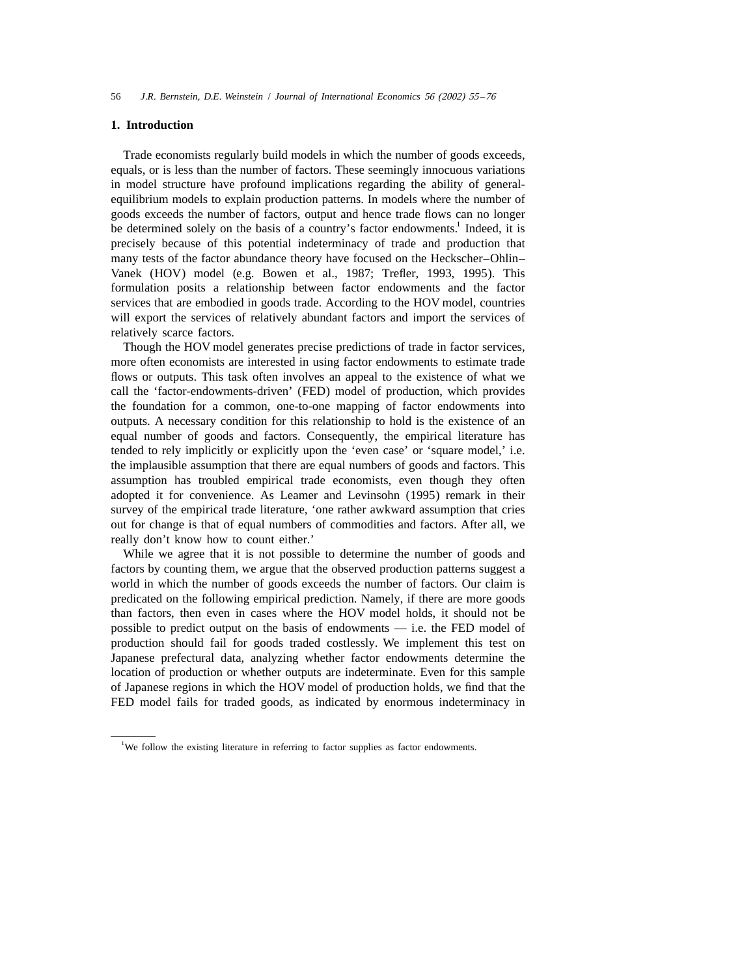#### **1. Introduction**

Trade economists regularly build models in which the number of goods exceeds, equals, or is less than the number of factors. These seemingly innocuous variations in model structure have profound implications regarding the ability of generalequilibrium models to explain production patterns. In models where the number of goods exceeds the number of factors, output and hence trade flows can no longer be determined solely on the basis of a country's factor endowments.<sup>1</sup> Indeed, it is precisely because of this potential indeterminacy of trade and production that many tests of the factor abundance theory have focused on the Heckscher–Ohlin– Vanek (HOV) model (e.g. Bowen et al., 1987; Trefler, 1993, 1995). This formulation posits a relationship between factor endowments and the factor services that are embodied in goods trade. According to the HOV model, countries will export the services of relatively abundant factors and import the services of relatively scarce factors.

Though the HOV model generates precise predictions of trade in factor services, more often economists are interested in using factor endowments to estimate trade flows or outputs. This task often involves an appeal to the existence of what we call the 'factor-endowments-driven' (FED) model of production, which provides the foundation for a common, one-to-one mapping of factor endowments into outputs. A necessary condition for this relationship to hold is the existence of an equal number of goods and factors. Consequently, the empirical literature has tended to rely implicitly or explicitly upon the 'even case' or 'square model,' i.e. the implausible assumption that there are equal numbers of goods and factors. This assumption has troubled empirical trade economists, even though they often adopted it for convenience. As Leamer and Levinsohn (1995) remark in their survey of the empirical trade literature, 'one rather awkward assumption that cries out for change is that of equal numbers of commodities and factors. After all, we really don't know how to count either.'

While we agree that it is not possible to determine the number of goods and factors by counting them, we argue that the observed production patterns suggest a world in which the number of goods exceeds the number of factors. Our claim is predicated on the following empirical prediction. Namely, if there are more goods than factors, then even in cases where the HOV model holds, it should not be possible to predict output on the basis of endowments — i.e. the FED model of production should fail for goods traded costlessly. We implement this test on Japanese prefectural data, analyzing whether factor endowments determine the location of production or whether outputs are indeterminate. Even for this sample of Japanese regions in which the HOV model of production holds, we find that the FED model fails for traded goods, as indicated by enormous indeterminacy in

<sup>&</sup>lt;sup>1</sup>We follow the existing literature in referring to factor supplies as factor endowments.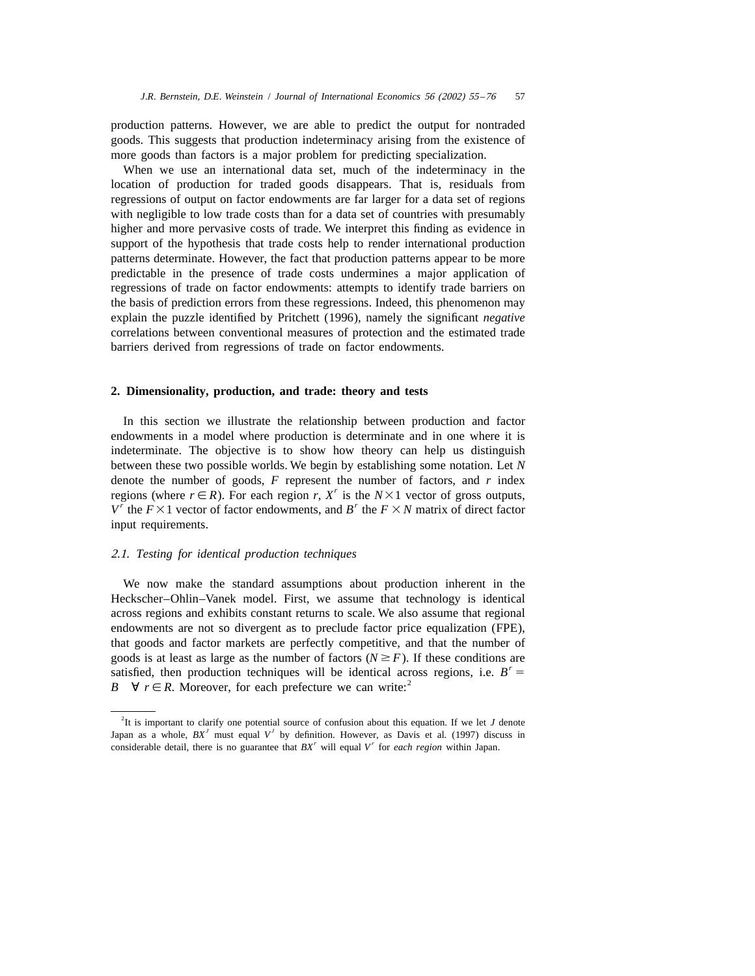production patterns. However, we are able to predict the output for nontraded goods. This suggests that production indeterminacy arising from the existence of more goods than factors is a major problem for predicting specialization.

When we use an international data set, much of the indeterminacy in the location of production for traded goods disappears. That is, residuals from regressions of output on factor endowments are far larger for a data set of regions with negligible to low trade costs than for a data set of countries with presumably higher and more pervasive costs of trade. We interpret this finding as evidence in support of the hypothesis that trade costs help to render international production patterns determinate. However, the fact that production patterns appear to be more predictable in the presence of trade costs undermines a major application of regressions of trade on factor endowments: attempts to identify trade barriers on the basis of prediction errors from these regressions. Indeed, this phenomenon may explain the puzzle identified by Pritchett (1996), namely the significant *negative* correlations between conventional measures of protection and the estimated trade barriers derived from regressions of trade on factor endowments.

## **2. Dimensionality, production, and trade: theory and tests**

In this section we illustrate the relationship between production and factor endowments in a model where production is determinate and in one where it is indeterminate. The objective is to show how theory can help us distinguish between these two possible worlds. We begin by establishing some notation. Let *N* denote the number of goods, F represent the number of factors, and r index<br>regions (where  $r \in R$ ). For each region r, X' is the  $N \times 1$  vector of gross outputs,<br> $V^r$  the  $F \times 1$  vector of factor endowments, and B' the  $F$ input requirements.

# 2.1. *Testing for identical production techniques*

We now make the standard assumptions about production inherent in the Heckscher–Ohlin–Vanek model. First, we assume that technology is identical across regions and exhibits constant returns to scale. We also assume that regional endowments are not so divergent as to preclude factor price equalization (FPE), that goods and factor markets are perfectly competitive, and that the number of goods is at least as large as the number of factors ( $N \ge F$ ). If these conditions are satisfied, then production techniques will be identical across regions, i.e.  $B' = B \quad \forall r \in R$ . Moreover, for each prefecture we can write

<sup>&</sup>lt;sup>2</sup>It is important to clarify one potential source of confusion about this equation. If we let  $J$  denote Japan as a whole,  $BX'$  must equal  $V'$  by definition. However, as Davis et al. (1997) discuss in considerable detail, there is no guarantee that  $BX'$  will equal  $V'$  for *each region* within Japan.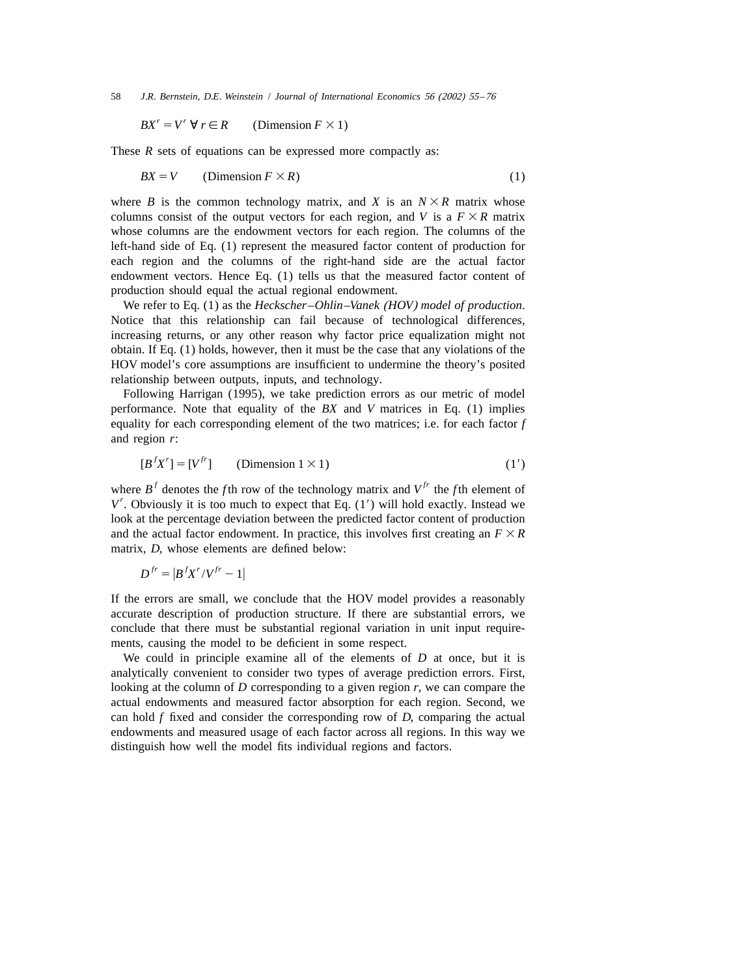$$
BX' = V' \forall r \in R \qquad \text{(Dimension } F \times 1\text{)}
$$

These *R* sets of equations can be expressed more compactly as:

$$
BX = V \qquad \text{(Dimension } F \times R) \tag{1}
$$

where *B* is the common technology matrix, and *X* is an  $N \times R$  matrix whose columns consist of the output vectors for each region, and *V* is a  $F \times R$  matrix whose columns are the endowment vectors for each region. The columns of the left-hand side of Eq. (1) represent the measured factor content of production for each region and the columns of the right-hand side are the actual factor endowment vectors. Hence Eq. (1) tells us that the measured factor content of production should equal the actual regional endowment.

We refer to Eq. (1) as the *Heckscher*–*Ohlin*–*Vanek* (*HOV*) *model of production*. Notice that this relationship can fail because of technological differences, increasing returns, or any other reason why factor price equalization might not obtain. If Eq. (1) holds, however, then it must be the case that any violations of the HOV model's core assumptions are insufficient to undermine the theory's posited relationship between outputs, inputs, and technology.

Following Harrigan (1995), we take prediction errors as our metric of model performance. Note that equality of the *BX* and *V* matrices in Eq. (1) implies equality for each corresponding element of the two matrices; i.e. for each factor *f* and region *r*:

$$
[BfXr] = [Vfr] \qquad \text{(Dimension 1} \times 1) \tag{1'}
$$

where  $B^f$  denotes the fth row of the technology matrix and  $V^{fr}$  the fth element of  $V^r$ . Obviously it is too much to expect that Eq. (1') will hold exactly. Instead we look at the percentage deviation between the predicted factor content of production and the actual factor endowment. In practice, this involves first creating an  $F \times R$ matrix, *D*, whose elements are defined below:

 $D^{fr} = |B^f X^r / V^{fr} - 1|$ 

If the errors are small, we conclude that the HOV model provides a reasonably accurate description of production structure. If there are substantial errors, we conclude that there must be substantial regional variation in unit input requirements, causing the model to be deficient in some respect.

We could in principle examine all of the elements of *D* at once, but it is analytically convenient to consider two types of average prediction errors. First, looking at the column of *D* corresponding to a given region *r*, we can compare the actual endowments and measured factor absorption for each region. Second, we can hold *f* fixed and consider the corresponding row of *D*, comparing the actual endowments and measured usage of each factor across all regions. In this way we distinguish how well the model fits individual regions and factors.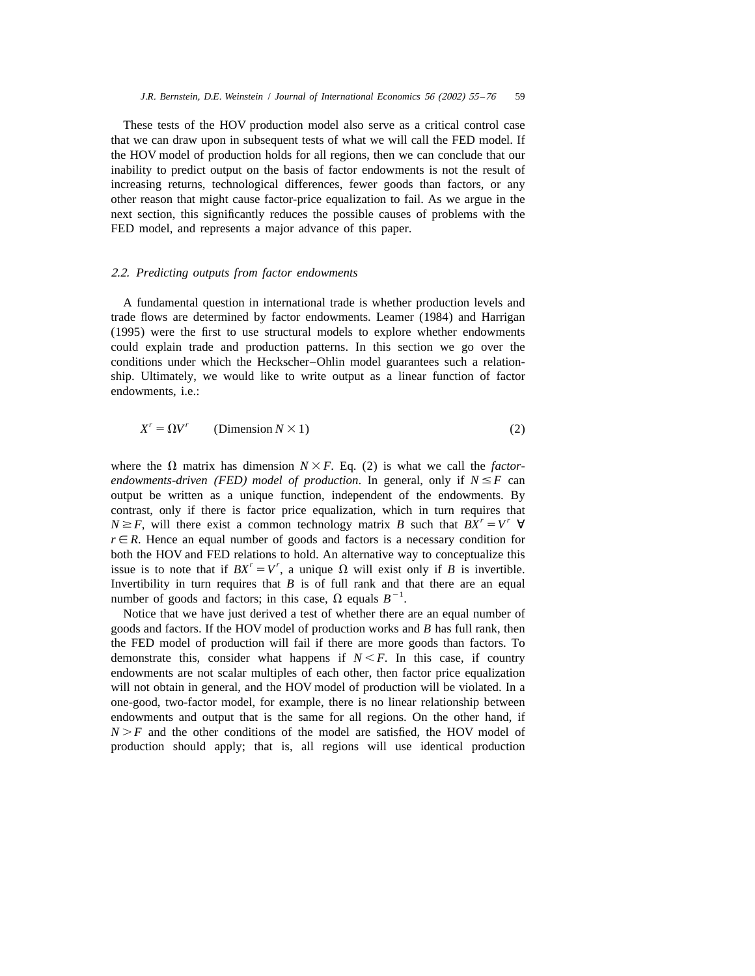These tests of the HOV production model also serve as a critical control case that we can draw upon in subsequent tests of what we will call the FED model. If the HOV model of production holds for all regions, then we can conclude that our inability to predict output on the basis of factor endowments is not the result of increasing returns, technological differences, fewer goods than factors, or any other reason that might cause factor-price equalization to fail. As we argue in the next section, this significantly reduces the possible causes of problems with the FED model, and represents a major advance of this paper.

### 2.2. *Predicting outputs from factor endowments*

A fundamental question in international trade is whether production levels and trade flows are determined by factor endowments. Leamer (1984) and Harrigan (1995) were the first to use structural models to explore whether endowments could explain trade and production patterns. In this section we go over the conditions under which the Heckscher–Ohlin model guarantees such a relationship. Ultimately, we would like to write output as a linear function of factor endowments, i.e.:

$$
X' = \Omega V' \qquad \text{(Dimension } N \times 1\text{)}\tag{2}
$$

where the  $\Omega$  matrix has dimension  $N \times F$ . Eq. (2) is what we call the *factorendowments-driven* (*FED*) *model of production*. In general, only if  $N \leq F$  can output be written as a unique function, independent of the endowments. By contrast, only if there is factor price equalization, which in turn requires that  $N \geq F$ , will there exist a common technology matrix *B* such that  $BX' = V'$   $\forall$  $r \in R$ . Hence an equal number of goods and factors is a necessary condition for both the HOV and FED relations to hold. An alternative way to conceptualize this issue is to note that if  $BX' = V'$ , a unique  $\Omega$  will exist only if *B* is invertible. Invertibility in turn requires that *B* is of full rank and that there are an equal number of goods and factors; in this case,  $\Omega$  equals  $B^{-1}$ .

Notice that we have just derived a test of whether there are an equal number of goods and factors. If the HOV model of production works and *B* has full rank, then the FED model of production will fail if there are more goods than factors. To demonstrate this, consider what happens if  $N \leq F$ . In this case, if country endowments are not scalar multiples of each other, then factor price equalization will not obtain in general, and the HOV model of production will be violated. In a one-good, two-factor model, for example, there is no linear relationship between endowments and output that is the same for all regions. On the other hand, if  $N \geq F$  and the other conditions of the model are satisfied, the HOV model of production should apply; that is, all regions will use identical production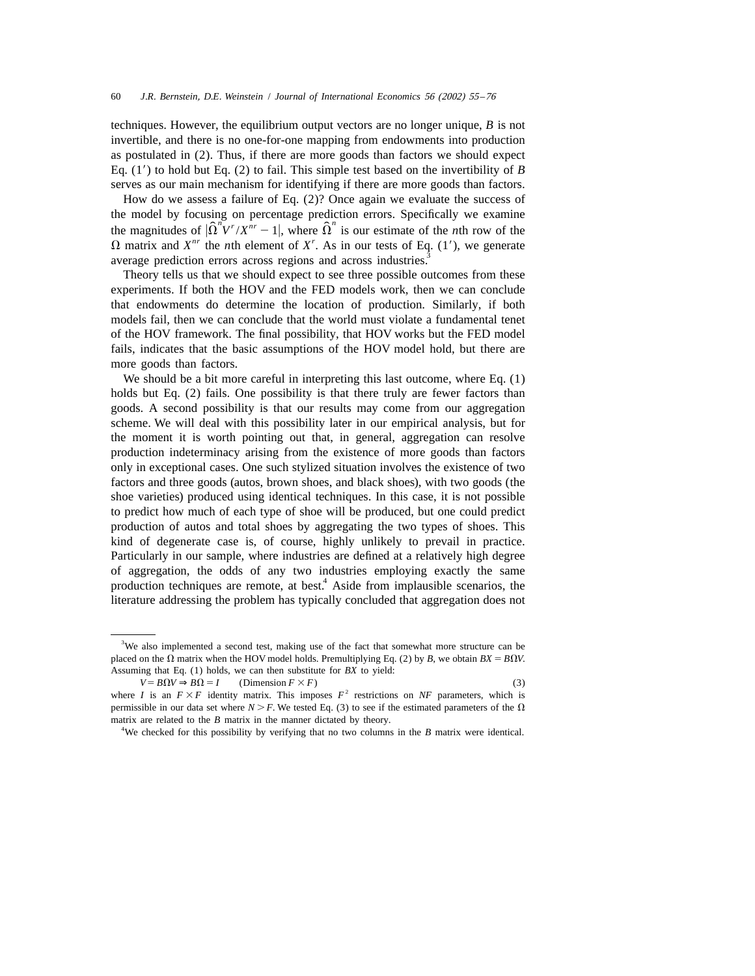techniques. However, the equilibrium output vectors are no longer unique, *B* is not invertible, and there is no one-for-one mapping from endowments into production as postulated in (2). Thus, if there are more goods than factors we should expect Eq.  $(1')$  to hold but Eq.  $(2)$  to fail. This simple test based on the invertibility of *B* serves as our main mechanism for identifying if there are more goods than factors.

How do we assess a failure of Eq. (2)? Once again we evaluate the success of the model by focusing on percentage prediction errors. Specifically we examine<br>the magnitudes of  $|\hat{\Omega}^n V^r / X^{nr} - 1|$ , where  $\hat{\Omega}^n$  is our estimate of the *n*th row of the<br> $\Omega$  matrix and  $X^{nr}$  the *n*th element of

Theory tells us that we should expect to see three possible outcomes from these experiments. If both the HOV and the FED models work, then we can conclude that endowments do determine the location of production. Similarly, if both models fail, then we can conclude that the world must violate a fundamental tenet of the HOV framework. The final possibility, that HOV works but the FED model fails, indicates that the basic assumptions of the HOV model hold, but there are more goods than factors.

We should be a bit more careful in interpreting this last outcome, where Eq. (1) holds but Eq. (2) fails. One possibility is that there truly are fewer factors than goods. A second possibility is that our results may come from our aggregation scheme. We will deal with this possibility later in our empirical analysis, but for the moment it is worth pointing out that, in general, aggregation can resolve production indeterminacy arising from the existence of more goods than factors only in exceptional cases. One such stylized situation involves the existence of two factors and three goods (autos, brown shoes, and black shoes), with two goods (the shoe varieties) produced using identical techniques. In this case, it is not possible to predict how much of each type of shoe will be produced, but one could predict production of autos and total shoes by aggregating the two types of shoes. This kind of degenerate case is, of course, highly unlikely to prevail in practice. Particularly in our sample, where industries are defined at a relatively high degree of aggregation, the odds of any two industries employing exactly the same production techniques are remote, at best. Aside from implausible scenarios, the literature addressing the problem has typically concluded that aggregation does not

<sup>&</sup>lt;sup>3</sup>We also implemented a second test, making use of the fact that somewhat more structure can be placed on the  $\Omega$  matrix when the HOV model holds. Premultiplying Eq. (2) by *B*, we obtain  $BX = B\Omega V$ . Assuming that Eq. (1) holds, we can then substitute for *BX* to yield:

 $V = B\Omega V \Rightarrow B\Omega = I$  (Dimension  $F \times F$ ) (3) where *I* is an  $F \times F$  identity matrix. This imposes  $F^2$  restrictions on *NF* parameters, which is permissible in our data set where  $N > F$ . We tested Eq. (3) to see if the estimated parameters of the  $\Omega$ matrix are related to the *B* matrix in the manner dictated by theory.

<sup>4</sup> We checked for this possibility by verifying that no two columns in the *B* matrix were identical.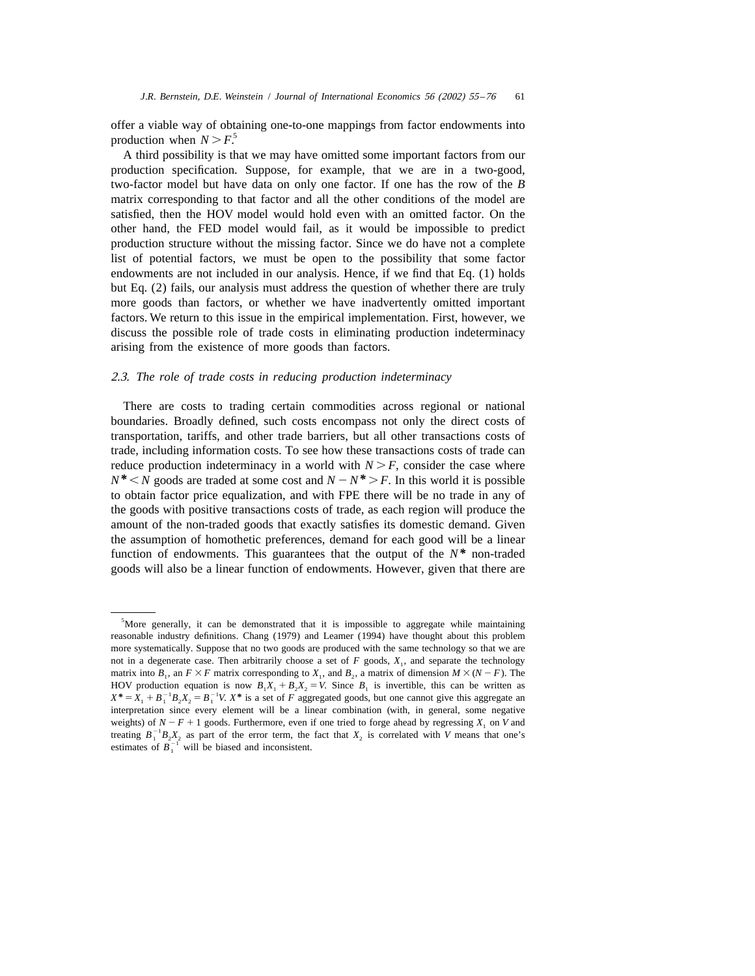offer a viable way of obtaining one-to-one mappings from factor endowments into production when  $N > F$ <sup>5</sup>.

A third possibility is that we may have omitted some important factors from our production specification. Suppose, for example, that we are in a two-good, two-factor model but have data on only one factor. If one has the row of the *B* matrix corresponding to that factor and all the other conditions of the model are satisfied, then the HOV model would hold even with an omitted factor. On the other hand, the FED model would fail, as it would be impossible to predict production structure without the missing factor. Since we do have not a complete list of potential factors, we must be open to the possibility that some factor endowments are not included in our analysis. Hence, if we find that Eq. (1) holds but Eq. (2) fails, our analysis must address the question of whether there are truly more goods than factors, or whether we have inadvertently omitted important factors. We return to this issue in the empirical implementation. First, however, we discuss the possible role of trade costs in eliminating production indeterminacy arising from the existence of more goods than factors.

### 2.3. *The role of trade costs in reducing production indeterminacy*

There are costs to trading certain commodities across regional or national boundaries. Broadly defined, such costs encompass not only the direct costs of transportation, tariffs, and other trade barriers, but all other transactions costs of trade, including information costs. To see how these transactions costs of trade can reduce production indeterminacy in a world with  $N \geq F$ , consider the case where  $N^*$  < *N* goods are traded at some cost and  $N - N^* > F$ . In this world it is possible to obtain factor price equalization, and with FPE there will be no trade in any of the goods with positive transactions costs of trade, as each region will produce the amount of the non-traded goods that exactly satisfies its domestic demand. Given the assumption of homothetic preferences, demand for each good will be a linear function of endowments. This guarantees that the output of the  $N^*$  non-traded goods will also be a linear function of endowments. However, given that there are

<sup>&</sup>lt;sup>5</sup>More generally, it can be demonstrated that it is impossible to aggregate while maintaining reasonable industry definitions. Chang (1979) and Leamer (1994) have thought about this problem more systematically. Suppose that no two goods are produced with the same technology so that we are not in a degenerate case. Then arbitrarily choose a set of  $F$  goods,  $X_1$ , and separate the technology matrix into  $B_1$ , an  $F \times F$  matrix corresponding to  $X_1$ , and  $B_2$ , a matrix of dimension  $M \times (N - F)$ . The HOV production equation is now  $B_1 X_1 + B_2 X_2 = V$ . Since  $B_1$  is invertible, this can be written as  $X^* = X_1 + B_1^{-1}B_2X_2 = B_1^{-1}V$ .  $X^*$  is a set of F aggregated goods, but one cannot give this aggregate an interpretation since every element will be a linear combination (with, in general, some negative weights) of  $N - F + 1$  goods. Furthermore, even if one tried to forge ahead by regressing  $X_1$  on V and treating  $B_1^{-1}B_2X_2$  as part of the error term, the fact that  $X_2$  is correlated with V means that one's estimates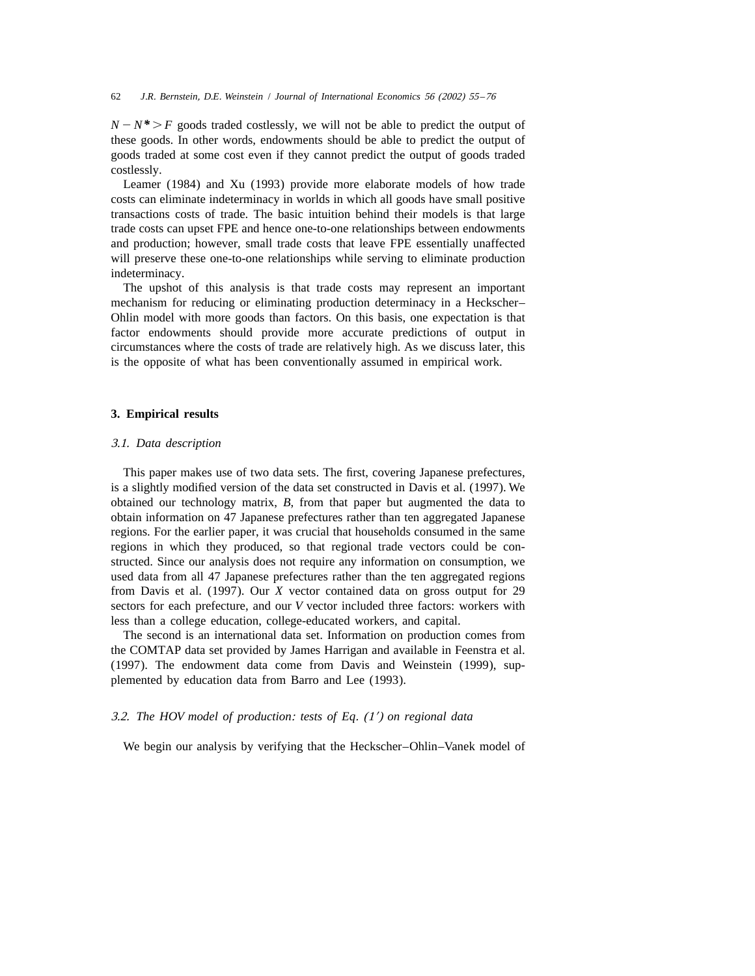$N - N^* > F$  goods traded costlessly, we will not be able to predict the output of these goods. In other words, endowments should be able to predict the output of goods traded at some cost even if they cannot predict the output of goods traded costlessly.

Leamer (1984) and Xu (1993) provide more elaborate models of how trade costs can eliminate indeterminacy in worlds in which all goods have small positive transactions costs of trade. The basic intuition behind their models is that large trade costs can upset FPE and hence one-to-one relationships between endowments and production; however, small trade costs that leave FPE essentially unaffected will preserve these one-to-one relationships while serving to eliminate production indeterminacy.

The upshot of this analysis is that trade costs may represent an important mechanism for reducing or eliminating production determinacy in a Heckscher– Ohlin model with more goods than factors. On this basis, one expectation is that factor endowments should provide more accurate predictions of output in circumstances where the costs of trade are relatively high. As we discuss later, this is the opposite of what has been conventionally assumed in empirical work.

### **3. Empirical results**

### 3.1. *Data description*

This paper makes use of two data sets. The first, covering Japanese prefectures, is a slightly modified version of the data set constructed in Davis et al. (1997). We obtained our technology matrix, *B*, from that paper but augmented the data to obtain information on 47 Japanese prefectures rather than ten aggregated Japanese regions. For the earlier paper, it was crucial that households consumed in the same regions in which they produced, so that regional trade vectors could be constructed. Since our analysis does not require any information on consumption, we used data from all 47 Japanese prefectures rather than the ten aggregated regions from Davis et al. (1997). Our *X* vector contained data on gross output for 29 sectors for each prefecture, and our *V* vector included three factors: workers with less than a college education, college-educated workers, and capital.

The second is an international data set. Information on production comes from the COMTAP data set provided by James Harrigan and available in Feenstra et al. (1997). The endowment data come from Davis and Weinstein (1999), supplemented by education data from Barro and Lee (1993).

### 3.2. The HOV model of production: tests of Eq. (1') on regional data

We begin our analysis by verifying that the Heckscher–Ohlin–Vanek model of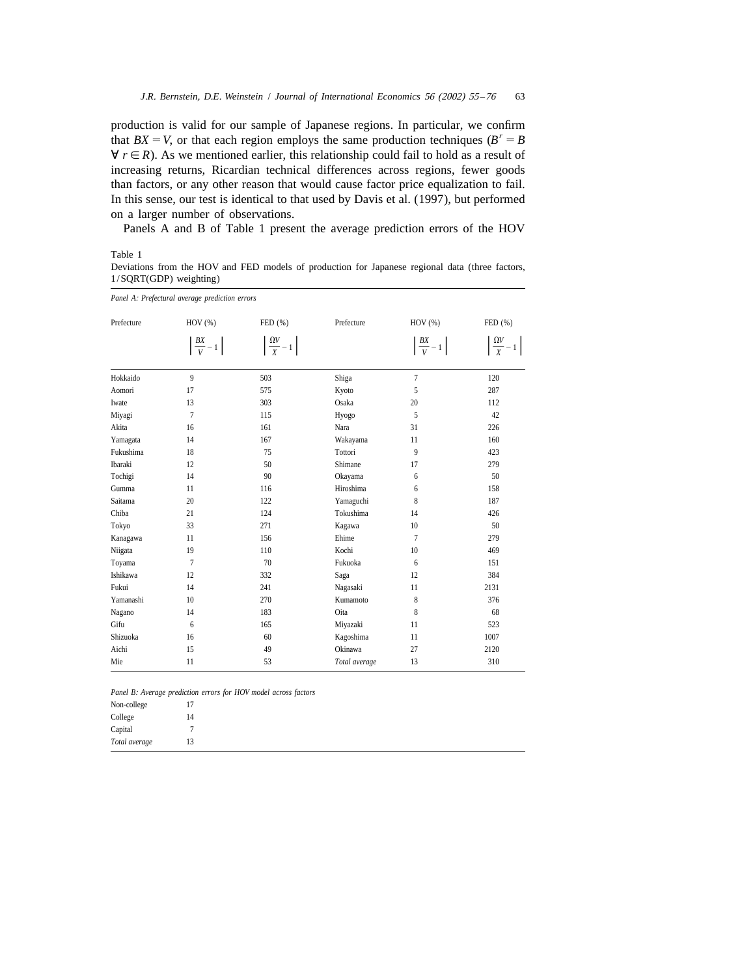production is valid for our sample of Japanese regions. In particular, we confirm that  $BX = V$ , or that each region employs the same production techniques ( $B' = B$  $\forall r \in R$ ). As we mentioned earlier, this relationship could fail to hold as a result of increasing returns, Ricardian technical differences across regions, fewer goods than factors, or any other reason that would cause factor price equalization to fail. In this sense, our test is identical to that used by Davis et al. (1997), but performed on a larger number of observations.

Panels A and B of Table 1 present the average prediction errors of the HOV

Table 1

Deviations from the HOV and FED models of production for Japanese regional data (three factors, 1/SQRT(GDP) weighting)

| Prefecture | HOV(%)             | FED(%)                   | Prefecture    | HOV(%)             | FED(%)                   |
|------------|--------------------|--------------------------|---------------|--------------------|--------------------------|
|            | $\frac{BX}{V} - 1$ | $\frac{\Omega V}{X} - 1$ |               | $\frac{BX}{V} - 1$ | $\frac{\Omega V}{X} - 1$ |
| Hokkaido   | 9                  | 503                      | Shiga         | 7                  | 120                      |
| Aomori     | 17                 | 575                      | Kyoto         | 5                  | 287                      |
| Iwate      | 13                 | 303                      | Osaka         | 20                 | 112                      |
| Miyagi     | 7                  | 115                      | Hyogo         | 5                  | 42                       |
| Akita      | 16                 | 161                      | Nara          | 31                 | 226                      |
| Yamagata   | 14                 | 167                      | Wakayama      | 11                 | 160                      |
| Fukushima  | 18                 | 75                       | Tottori       | 9                  | 423                      |
| Ibaraki    | 12                 | 50                       | Shimane       | 17                 | 279                      |
| Tochigi    | 14                 | 90                       | Okayama       | 6                  | 50                       |
| Gumma      | 11                 | 116                      | Hiroshima     | 6                  | 158                      |
| Saitama    | 20                 | 122                      | Yamaguchi     | 8                  | 187                      |
| Chiba      | 21                 | 124                      | Tokushima     | 14                 | 426                      |
| Tokyo      | 33                 | 271                      | Kagawa        | 10                 | 50                       |
| Kanagawa   | 11                 | 156                      | Ehime         | 7                  | 279                      |
| Niigata    | 19                 | 110                      | Kochi         | 10                 | 469                      |
| Toyama     | 7                  | 70                       | Fukuoka       | 6                  | 151                      |
| Ishikawa   | 12                 | 332                      | Saga          | 12                 | 384                      |
| Fukui      | 14                 | 241                      | Nagasaki      | 11                 | 2131                     |
| Yamanashi  | 10                 | 270                      | Kumamoto      | 8                  | 376                      |
| Nagano     | 14                 | 183                      | Oita          | 8                  | 68                       |
| Gifu       | 6                  | 165                      | Miyazaki      | 11                 | 523                      |
| Shizuoka   | 16                 | 60                       | Kagoshima     | 11                 | 1007                     |
| Aichi      | 15                 | 49                       | Okinawa       | 27                 | 2120                     |
| Mie        | 11                 | 53                       | Total average | 13                 | 310                      |

*Panel A*: *Prefectural average prediction errors*

*Panel B*: *Average prediction errors for HOV model across factors*

| Non-college   | 17 |
|---------------|----|
| College       | 14 |
| Capital       | 7  |
| Total average | 13 |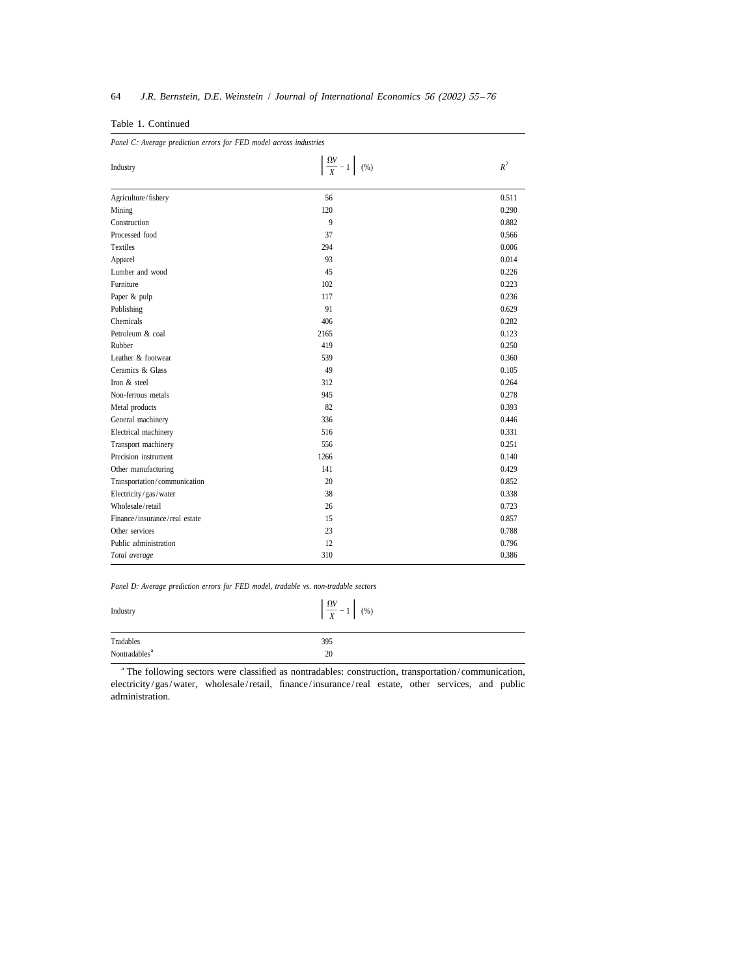| Panel C: Average prediction errors for FED model across industries |                              |       |  |  |  |
|--------------------------------------------------------------------|------------------------------|-------|--|--|--|
| Industry                                                           | $\frac{\Omega V}{X} - 1$ (%) | $R^2$ |  |  |  |
| Agriculture/fishery                                                | 56                           | 0.511 |  |  |  |
| Mining                                                             | 120                          | 0.290 |  |  |  |
| Construction                                                       | 9                            | 0.882 |  |  |  |
| Processed food                                                     | 37                           | 0.566 |  |  |  |
| <b>Textiles</b>                                                    | 294                          | 0.006 |  |  |  |
| Apparel                                                            | 93                           | 0.014 |  |  |  |
| Lumber and wood                                                    | 45                           | 0.226 |  |  |  |
| Furniture                                                          | 102                          | 0.223 |  |  |  |
| Paper & pulp                                                       | 117                          | 0.236 |  |  |  |
| Publishing                                                         | 91                           | 0.629 |  |  |  |
| Chemicals                                                          | 406                          | 0.282 |  |  |  |
| Petroleum & coal                                                   | 2165                         | 0.123 |  |  |  |
| Rubber                                                             | 419                          | 0.250 |  |  |  |
| Leather & footwear                                                 | 539                          | 0.360 |  |  |  |
| Ceramics & Glass                                                   | 49                           | 0.105 |  |  |  |
| Iron $\&$ steel                                                    | 312                          | 0.264 |  |  |  |
| Non-ferrous metals                                                 | 945                          | 0.278 |  |  |  |
| Metal products                                                     | 82                           | 0.393 |  |  |  |
| General machinery                                                  | 336                          | 0.446 |  |  |  |
| Electrical machinery                                               | 516                          | 0.331 |  |  |  |
| Transport machinery                                                | 556                          | 0.251 |  |  |  |
| Precision instrument                                               | 1266                         | 0.140 |  |  |  |
| Other manufacturing                                                | 141                          | 0.429 |  |  |  |
| Transportation/communication                                       | 20                           | 0.852 |  |  |  |
| Electricity/gas/water                                              | 38                           | 0.338 |  |  |  |
| Wholesale/retail                                                   | 26                           | 0.723 |  |  |  |
| Finance/insurance/real estate                                      | 15                           | 0.857 |  |  |  |
| Other services                                                     | 23                           | 0.788 |  |  |  |
| Public administration                                              | 12                           | 0.796 |  |  |  |
| Total average                                                      | 310                          | 0.386 |  |  |  |

### Table 1. Continued

| Panel D: Average prediction errors for FED model, tradable vs. non-tradable sectors |                              |  |  |  |  |
|-------------------------------------------------------------------------------------|------------------------------|--|--|--|--|
| Industry                                                                            | $\frac{\Omega V}{Y} - 1$ (%) |  |  |  |  |
| Tradables<br>Nontradables <sup>a</sup>                                              | 395<br>20                    |  |  |  |  |

<sup>a</sup> The following sectors were classified as nontradables: construction, transportation/communication, electricity/gas/water, wholesale/retail, finance/insurance/real estate, other services, and public administration.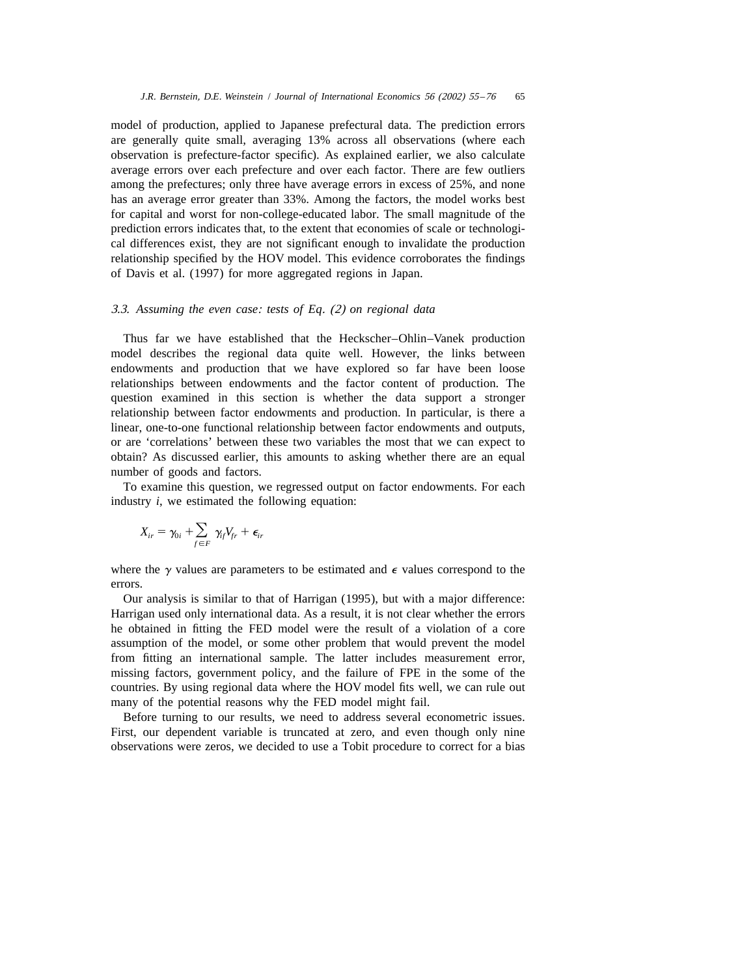model of production, applied to Japanese prefectural data. The prediction errors are generally quite small, averaging 13% across all observations (where each observation is prefecture-factor specific). As explained earlier, we also calculate average errors over each prefecture and over each factor. There are few outliers among the prefectures; only three have average errors in excess of 25%, and none has an average error greater than 33%. Among the factors, the model works best for capital and worst for non-college-educated labor. The small magnitude of the prediction errors indicates that, to the extent that economies of scale or technological differences exist, they are not significant enough to invalidate the production relationship specified by the HOV model. This evidence corroborates the findings of Davis et al. (1997) for more aggregated regions in Japan.

# 3.3. *Assuming the even case*: *tests of Eq*. (2) *on regional data*

Thus far we have established that the Heckscher–Ohlin–Vanek production model describes the regional data quite well. However, the links between endowments and production that we have explored so far have been loose relationships between endowments and the factor content of production. The question examined in this section is whether the data support a stronger relationship between factor endowments and production. In particular, is there a linear, one-to-one functional relationship between factor endowments and outputs, or are 'correlations' between these two variables the most that we can expect to obtain? As discussed earlier, this amounts to asking whether there are an equal number of goods and factors.

To examine this question, we regressed output on factor endowments. For each industry *i*, we estimated the following equation:

$$
X_{ir} = \gamma_{0i} + \sum_{f \in F} \gamma_{if} V_{fr} + \epsilon_{ir}
$$

where the  $\gamma$  values are parameters to be estimated and  $\epsilon$  values correspond to the errors.

Our analysis is similar to that of Harrigan (1995), but with a major difference: Harrigan used only international data. As a result, it is not clear whether the errors he obtained in fitting the FED model were the result of a violation of a core assumption of the model, or some other problem that would prevent the model from fitting an international sample. The latter includes measurement error, missing factors, government policy, and the failure of FPE in the some of the countries. By using regional data where the HOV model fits well, we can rule out many of the potential reasons why the FED model might fail.

Before turning to our results, we need to address several econometric issues. First, our dependent variable is truncated at zero, and even though only nine observations were zeros, we decided to use a Tobit procedure to correct for a bias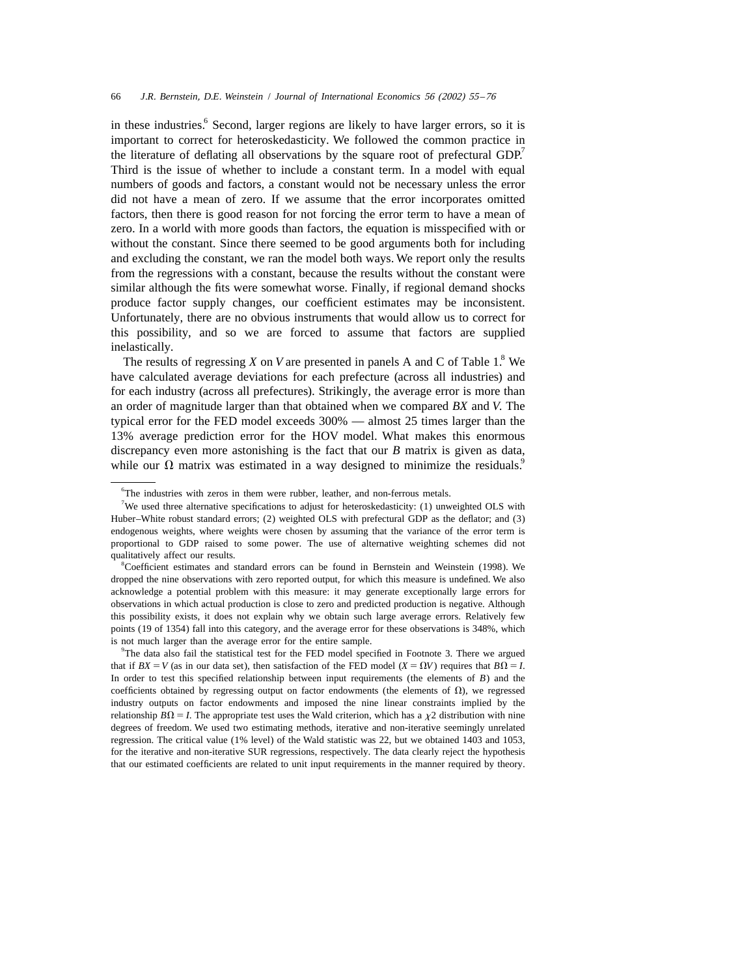in these industries.<sup>6</sup> Second, larger regions are likely to have larger errors, so it is important to correct for heteroskedasticity. We followed the common practice in the literature of deflating all observations by the square root of prefectural GDP. Third is the issue of whether to include a constant term. In a model with equal numbers of goods and factors, a constant would not be necessary unless the error did not have a mean of zero. If we assume that the error incorporates omitted factors, then there is good reason for not forcing the error term to have a mean of zero. In a world with more goods than factors, the equation is misspecified with or without the constant. Since there seemed to be good arguments both for including and excluding the constant, we ran the model both ways. We report only the results from the regressions with a constant, because the results without the constant were similar although the fits were somewhat worse. Finally, if regional demand shocks produce factor supply changes, our coefficient estimates may be inconsistent. Unfortunately, there are no obvious instruments that would allow us to correct for this possibility, and so we are forced to assume that factors are supplied inelastically.<br>The results of regressing *X* on *V* are presented in panels A and C of Table 1.<sup>8</sup> We

have calculated average deviations for each prefecture (across all industries) and for each industry (across all prefectures). Strikingly, the average error is more than an order of magnitude larger than that obtained when we compared *BX* and *V*. The typical error for the FED model exceeds 300% — almost 25 times larger than the 13% average prediction error for the HOV model. What makes this enormous discrepancy even more astonishing is the fact that our *B* matrix is given as data, while our  $\Omega$  matrix was estimated in a way designed to minimize the residuals.

Coefficient estimates and standard errors can be found in Bernstein and Weinstein (1998). We dropped the nine observations with zero reported output, for which this measure is undefined. We also acknowledge a potential problem with this measure: it may generate exceptionally large errors for observations in which actual production is close to zero and predicted production is negative. Although this possibility exists, it does not explain why we obtain such large average errors. Relatively few points (19 of 1354) fall into this category, and the average error for these observations is 348%, which is not much larger than the average error for the entire sample.

<sup>9</sup>The data also fail the statistical test for the FED model specified in Footnote 3. There we argued that if  $BX = V$  (as in our data set), then satisfaction of the FED model  $(X = \Omega V)$  requires that  $B\Omega = I$ . In order to test this specified relationship between input requirements (the elements of *B*) and the coefficients obtained by regressing output on factor endowments (the elements of  $\Omega$ ), we regressed industry outputs on factor endowments and imposed the nine linear constraints implied by the relationship  $B\Omega = I$ . The appropriate test uses the Wald criterion, which has a  $\chi^2$  distribution with nine degrees of freedom. We used two estimating methods, iterative and non-iterative seemingly unrelated regression. The critical value (1% level) of the Wald statistic was 22, but we obtained 1403 and 1053, for the iterative and non-iterative SUR regressions, respectively. The data clearly reject the hypothesis that our estimated coefficients are related to unit input requirements in the manner required by theory.

<sup>6</sup> The industries with zeros in them were rubber, leather, and non-ferrous metals.

<sup>&</sup>lt;sup>7</sup>We used three alternative specifications to adjust for heteroskedasticity: (1) unweighted OLS with Huber–White robust standard errors; (2) weighted OLS with prefectural GDP as the deflator; and (3) endogenous weights, where weights were chosen by assuming that the variance of the error term is proportional to GDP raised to some power. The use of alternative weighting schemes did not qualitatively affect our results.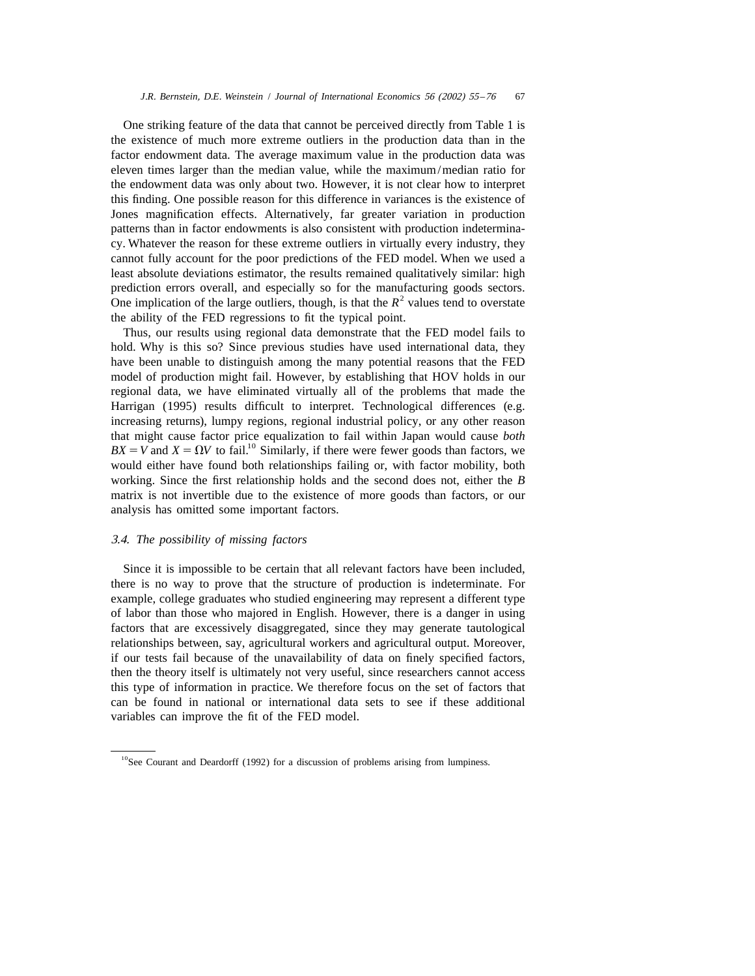One striking feature of the data that cannot be perceived directly from Table 1 is the existence of much more extreme outliers in the production data than in the factor endowment data. The average maximum value in the production data was eleven times larger than the median value, while the maximum/median ratio for the endowment data was only about two. However, it is not clear how to interpret this finding. One possible reason for this difference in variances is the existence of Jones magnification effects. Alternatively, far greater variation in production patterns than in factor endowments is also consistent with production indeterminacy. Whatever the reason for these extreme outliers in virtually every industry, they cannot fully account for the poor predictions of the FED model. When we used a least absolute deviations estimator, the results remained qualitatively similar: high prediction errors overall, and especially so for the manufacturing goods sectors. One implication of the large outliers, though, is that the  $R<sup>2</sup>$  values tend to overstate the ability of the FED regressions to fit the typical point.

Thus, our results using regional data demonstrate that the FED model fails to hold. Why is this so? Since previous studies have used international data, they have been unable to distinguish among the many potential reasons that the FED model of production might fail. However, by establishing that HOV holds in our regional data, we have eliminated virtually all of the problems that made the Harrigan (1995) results difficult to interpret. Technological differences (e.g. increasing returns), lumpy regions, regional industrial policy, or any other reason that might cause factor price equalization to fail within Japan would cause *both*  $BX = V$  and  $X = \Omega V$  to fail.<sup>10</sup> Similarly, if there were fewer goods than factors, we would either have found both relationships failing or, with factor mobility, both working. Since the first relationship holds and the second does not, either the *B* matrix is not invertible due to the existence of more goods than factors, or our analysis has omitted some important factors.

### 3.4. *The possibility of missing factors*

Since it is impossible to be certain that all relevant factors have been included, there is no way to prove that the structure of production is indeterminate. For example, college graduates who studied engineering may represent a different type of labor than those who majored in English. However, there is a danger in using factors that are excessively disaggregated, since they may generate tautological relationships between, say, agricultural workers and agricultural output. Moreover, if our tests fail because of the unavailability of data on finely specified factors, then the theory itself is ultimately not very useful, since researchers cannot access this type of information in practice. We therefore focus on the set of factors that can be found in national or international data sets to see if these additional variables can improve the fit of the FED model.

<sup>&</sup>lt;sup>10</sup>See Courant and Deardorff (1992) for a discussion of problems arising from lumpiness.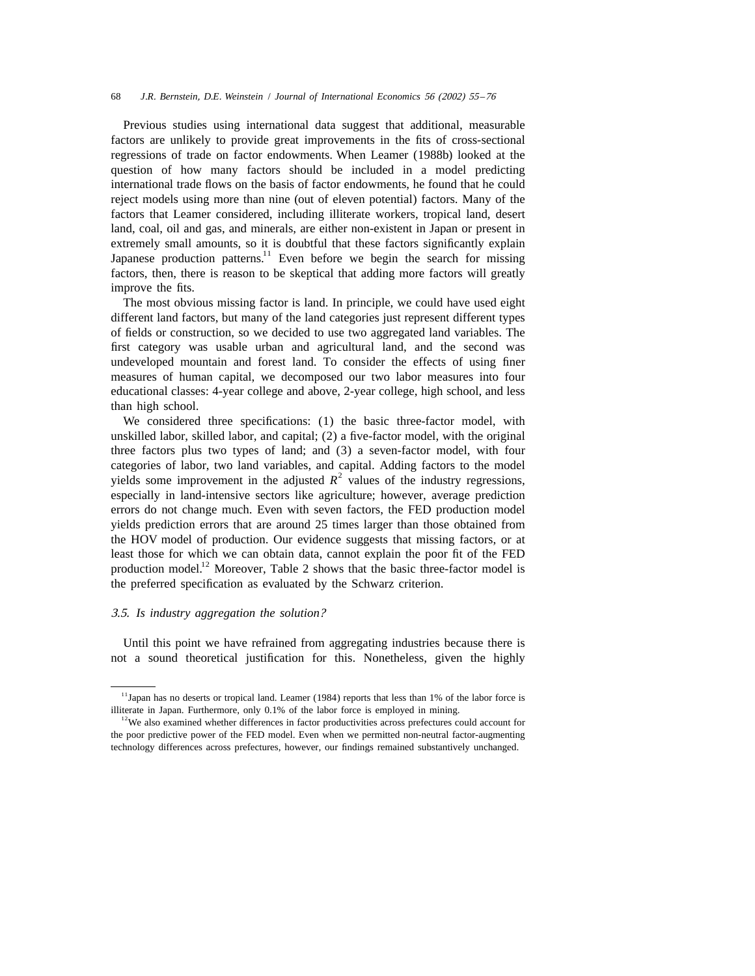Previous studies using international data suggest that additional, measurable factors are unlikely to provide great improvements in the fits of cross-sectional regressions of trade on factor endowments. When Leamer (1988b) looked at the question of how many factors should be included in a model predicting international trade flows on the basis of factor endowments, he found that he could reject models using more than nine (out of eleven potential) factors. Many of the factors that Leamer considered, including illiterate workers, tropical land, desert land, coal, oil and gas, and minerals, are either non-existent in Japan or present in extremely small amounts, so it is doubtful that these factors significantly explain Japanese production patterns.<sup>11</sup> Even before we begin the search for missing factors, then, there is reason to be skeptical that adding more factors will greatly improve the fits.

The most obvious missing factor is land. In principle, we could have used eight different land factors, but many of the land categories just represent different types of fields or construction, so we decided to use two aggregated land variables. The first category was usable urban and agricultural land, and the second was undeveloped mountain and forest land. To consider the effects of using finer measures of human capital, we decomposed our two labor measures into four educational classes: 4-year college and above, 2-year college, high school, and less than high school.

We considered three specifications: (1) the basic three-factor model, with unskilled labor, skilled labor, and capital; (2) a five-factor model, with the original three factors plus two types of land; and (3) a seven-factor model, with four categories of labor, two land variables, and capital. Adding factors to the model yields some improvement in the adjusted  $R<sup>2</sup>$  values of the industry regressions, especially in land-intensive sectors like agriculture; however, average prediction errors do not change much. Even with seven factors, the FED production model yields prediction errors that are around 25 times larger than those obtained from the HOV model of production. Our evidence suggests that missing factors, or at least those for which we can obtain data, cannot explain the poor fit of the FED production model.<sup>12</sup> Moreover, Table 2 shows that the basic three-factor model is the preferred specification as evaluated by the Schwarz criterion.

### 3.5. *Is industry aggregation the solution*?

Until this point we have refrained from aggregating industries because there is not a sound theoretical justification for this. Nonetheless, given the highly

<sup>&</sup>lt;sup>11</sup>Japan has no deserts or tropical land. Leamer (1984) reports that less than 1% of the labor force is illiterate in Japan. Furthermore, only 0.1% of the labor force is employed in mining.

<sup>&</sup>lt;sup>12</sup>We also examined whether differences in factor productivities across prefectures could account for the poor predictive power of the FED model. Even when we permitted non-neutral factor-augmenting technology differences across prefectures, however, our findings remained substantively unchanged.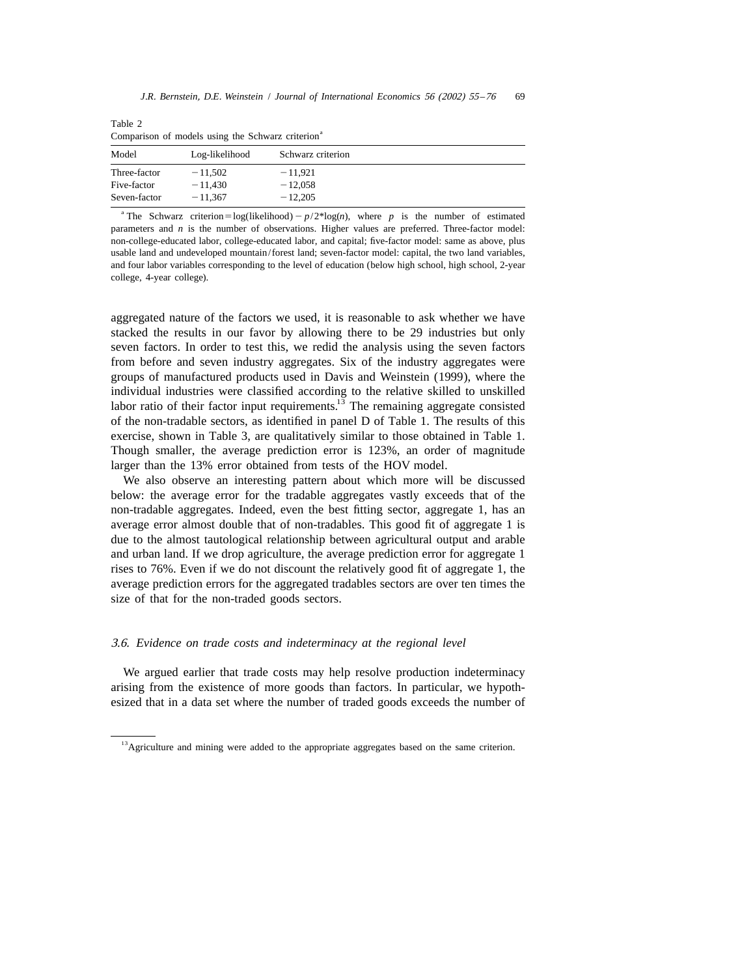| Model                       | Log-likelihood         | Schwarz criterion      |
|-----------------------------|------------------------|------------------------|
| Three-factor<br>Five-factor | $-11.502$<br>$-11.430$ | $-11.921$<br>$-12.058$ |
| Seven-factor                | $-11,367$              | $-12.205$              |

Table 2 Comparison of models using the Schwarz criterion<sup>a</sup>

<sup>a</sup> The Schwarz criterion=log(likelihood) -  $p/2*log(n)$ , where *p* is the number of estimated parameters and *n* is the number of observations. Higher values are preferred. Three-factor model: non-college-educated labor, college-educated labor, and capital; five-factor model: same as above, plus usable land and undeveloped mountain/forest land; seven-factor model: capital, the two land variables, and four labor variables corresponding to the level of education (below high school, high school, 2-year college, 4-year college).

aggregated nature of the factors we used, it is reasonable to ask whether we have stacked the results in our favor by allowing there to be 29 industries but only seven factors. In order to test this, we redid the analysis using the seven factors from before and seven industry aggregates. Six of the industry aggregates were groups of manufactured products used in Davis and Weinstein (1999), where the individual industries were classified according to the relative skilled to unskilled labor ratio of their factor input requirements.<sup>13</sup> The remaining aggregate consisted of the non-tradable sectors, as identified in panel D of Table 1. The results of this exercise, shown in Table 3, are qualitatively similar to those obtained in Table 1. Though smaller, the average prediction error is 123%, an order of magnitude larger than the 13% error obtained from tests of the HOV model.

We also observe an interesting pattern about which more will be discussed below: the average error for the tradable aggregates vastly exceeds that of the non-tradable aggregates. Indeed, even the best fitting sector, aggregate 1, has an average error almost double that of non-tradables. This good fit of aggregate 1 is due to the almost tautological relationship between agricultural output and arable and urban land. If we drop agriculture, the average prediction error for aggregate 1 rises to 76%. Even if we do not discount the relatively good fit of aggregate 1, the average prediction errors for the aggregated tradables sectors are over ten times the size of that for the non-traded goods sectors.

### 3.6. *Evidence on trade costs and indeterminacy at the regional level*

We argued earlier that trade costs may help resolve production indeterminacy arising from the existence of more goods than factors. In particular, we hypothesized that in a data set where the number of traded goods exceeds the number of

<sup>&</sup>lt;sup>13</sup>Agriculture and mining were added to the appropriate aggregates based on the same criterion.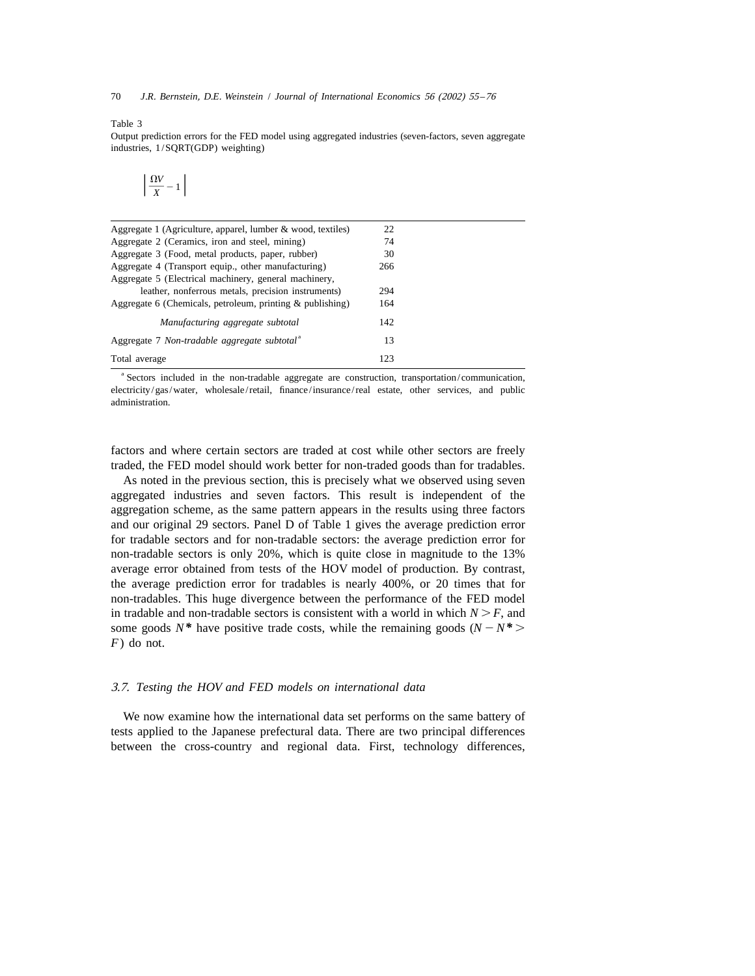#### Table 3

Output prediction errors for the FED model using aggregated industries (seven-factors, seven aggregate industries, 1/SQRT(GDP) weighting)

$$
\left| \frac{\Omega V}{X} - 1 \right|
$$

| Aggregate 1 (Agriculture, apparel, lumber $\&$ wood, textiles) | 22  |
|----------------------------------------------------------------|-----|
| Aggregate 2 (Ceramics, iron and steel, mining)                 | 74  |
| Aggregate 3 (Food, metal products, paper, rubber)              | 30  |
| Aggregate 4 (Transport equip., other manufacturing)            | 266 |
| Aggregate 5 (Electrical machinery, general machinery,          |     |
| leather, nonferrous metals, precision instruments)             | 294 |
| Aggregate 6 (Chemicals, petroleum, printing $\&$ publishing)   | 164 |
| Manufacturing aggregate subtotal                               | 142 |
| Aggregate 7 Non-tradable aggregate subtotal <sup>a</sup>       | 13  |
| Total average                                                  | 123 |

<sup>a</sup> Sectors included in the non-tradable aggregate are construction, transportation/communication, electricity/gas/water, wholesale/retail, finance/insurance/real estate, other services, and public administration.

factors and where certain sectors are traded at cost while other sectors are freely traded, the FED model should work better for non-traded goods than for tradables.

As noted in the previous section, this is precisely what we observed using seven aggregated industries and seven factors. This result is independent of the aggregation scheme, as the same pattern appears in the results using three factors and our original 29 sectors. Panel D of Table 1 gives the average prediction error for tradable sectors and for non-tradable sectors: the average prediction error for non-tradable sectors is only 20%, which is quite close in magnitude to the 13% average error obtained from tests of the HOV model of production. By contrast, the average prediction error for tradables is nearly 400%, or 20 times that for non-tradables. This huge divergence between the performance of the FED model in tradable and non-tradable sectors is consistent with a world in which  $N \geq F$ , and some goods  $N^*$  have positive trade costs, while the remaining goods  $(N - N^*)$ *F*) do not.

#### 3.7. *Testing the HOV and FED models on international data*

We now examine how the international data set performs on the same battery of tests applied to the Japanese prefectural data. There are two principal differences between the cross-country and regional data. First, technology differences,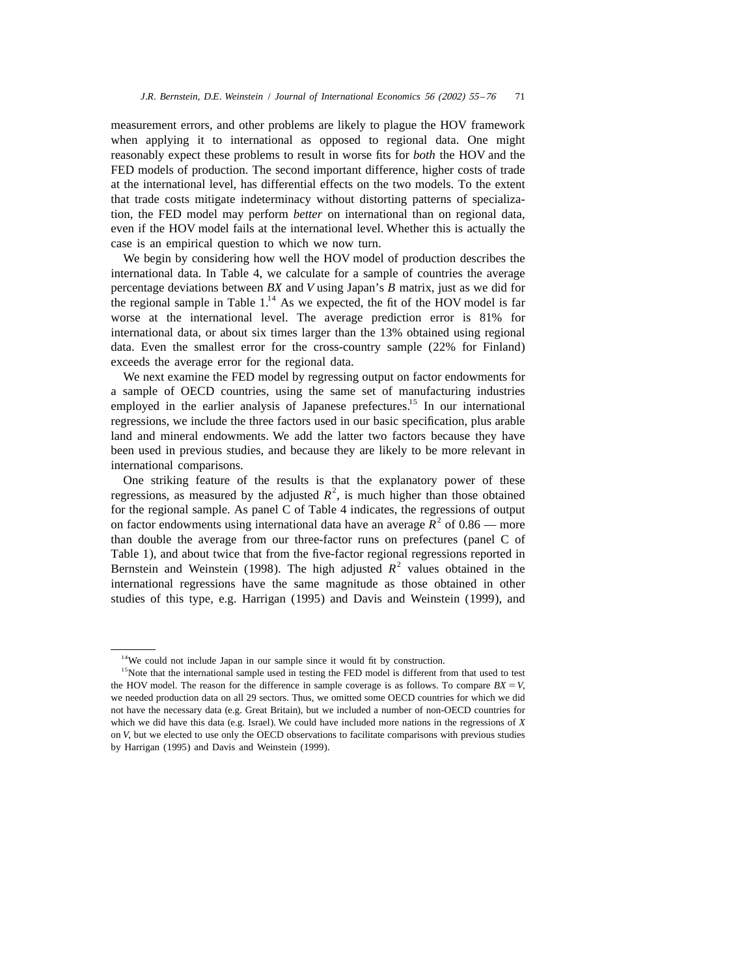measurement errors, and other problems are likely to plague the HOV framework when applying it to international as opposed to regional data. One might reasonably expect these problems to result in worse fits for *both* the HOV and the FED models of production. The second important difference, higher costs of trade at the international level, has differential effects on the two models. To the extent that trade costs mitigate indeterminacy without distorting patterns of specialization, the FED model may perform *better* on international than on regional data, even if the HOV model fails at the international level. Whether this is actually the case is an empirical question to which we now turn.

We begin by considering how well the HOV model of production describes the international data. In Table 4, we calculate for a sample of countries the average percentage deviations between *BX* and *V* using Japan's *B* matrix, just as we did for the regional sample in Table  $1^{14}$ . As we expected, the fit of the HOV model is far worse at the international level. The average prediction error is 81% for international data, or about six times larger than the 13% obtained using regional data. Even the smallest error for the cross-country sample (22% for Finland) exceeds the average error for the regional data.

We next examine the FED model by regressing output on factor endowments for a sample of OECD countries, using the same set of manufacturing industries employed in the earlier analysis of Japanese prefectures.<sup>15</sup> In our international regressions, we include the three factors used in our basic specification, plus arable land and mineral endowments. We add the latter two factors because they have been used in previous studies, and because they are likely to be more relevant in international comparisons.

One striking feature of the results is that the explanatory power of these regressions, as measured by the adjusted  $R<sup>2</sup>$ , is much higher than those obtained for the regional sample. As panel C of Table 4 indicates, the regressions of output on factor endowments using international data have an average  $R^2$  of 0.86 — more than double the average from our three-factor runs on prefectures (panel C of Table 1), and about twice that from the five-factor regional regressions reported in Bernstein and Weinstein (1998). The high adjusted  $R<sup>2</sup>$  values obtained in the international regressions have the same magnitude as those obtained in other studies of this type, e.g. Harrigan (1995) and Davis and Weinstein (1999), and

<sup>&</sup>lt;sup>14</sup>We could not include Japan in our sample since it would fit by construction.

<sup>&</sup>lt;sup>15</sup>Note that the international sample used in testing the FED model is different from that used to test the HOV model. The reason for the difference in sample coverage is as follows. To compare  $BX = V$ , we needed production data on all 29 sectors. Thus, we omitted some OECD countries for which we did not have the necessary data (e.g. Great Britain), but we included a number of non-OECD countries for which we did have this data (e.g. Israel). We could have included more nations in the regressions of *X* on *V*, but we elected to use only the OECD observations to facilitate comparisons with previous studies by Harrigan (1995) and Davis and Weinstein (1999).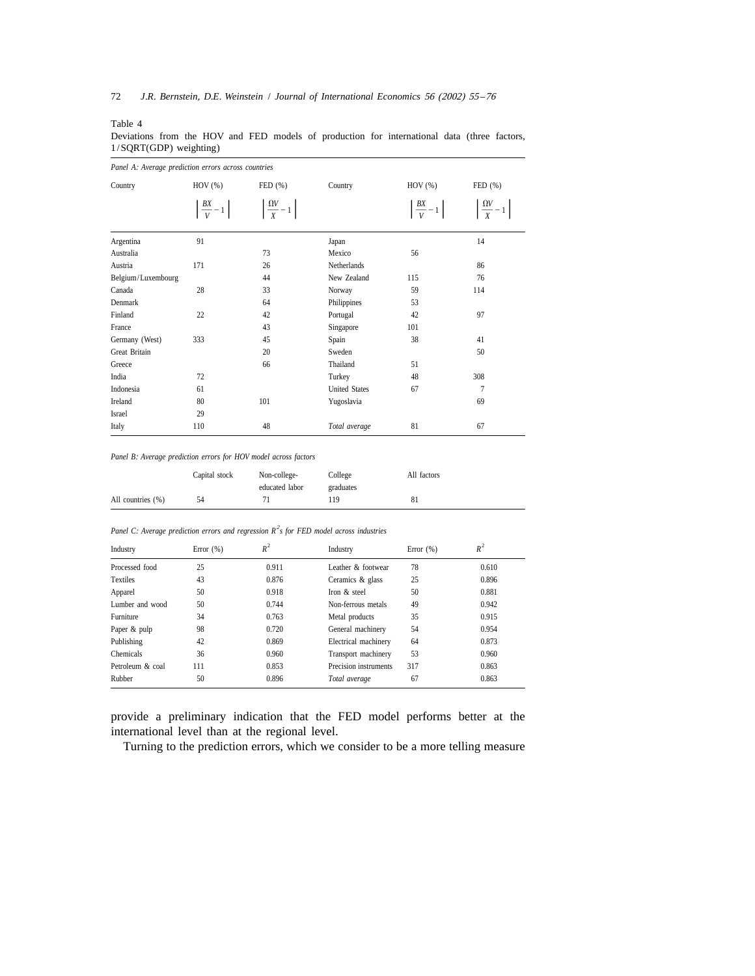Table 4

Deviations from the HOV and FED models of production for international data (three factors, 1/SQRT(GDP) weighting)

| Panel A: Average prediction errors across countries |        |                                       |                      |                    |                          |  |  |
|-----------------------------------------------------|--------|---------------------------------------|----------------------|--------------------|--------------------------|--|--|
| Country                                             | HOV(%) | FED(%)                                | Country              | HOV(%)             | FED(%)                   |  |  |
|                                                     |        | $\frac{BX}{V} - 1$ $\frac{QV}{Y} - 1$ |                      | $\frac{BX}{V} - 1$ | $\frac{\Omega V}{Y} - 1$ |  |  |
| Argentina                                           | 91     |                                       | Japan                |                    | 14                       |  |  |
| Australia                                           |        | 73                                    | Mexico               | 56                 |                          |  |  |
| Austria                                             | 171    | 26                                    | Netherlands          |                    | 86                       |  |  |
| Belgium/Luxembourg                                  |        | 44                                    | New Zealand          | 115                | 76                       |  |  |
| Canada                                              | 28     | 33                                    | Norway               | 59                 | 114                      |  |  |
| Denmark                                             |        | 64                                    | Philippines          | 53                 |                          |  |  |
| Finland                                             | 22     | 42                                    | Portugal             | 42                 | 97                       |  |  |
| France                                              |        | 43                                    | Singapore            | 101                |                          |  |  |
| Germany (West)                                      | 333    | 45                                    | Spain                | 38                 | 41                       |  |  |
| <b>Great Britain</b>                                |        | 20                                    | Sweden               |                    | 50                       |  |  |
| Greece                                              |        | 66                                    | Thailand             | 51                 |                          |  |  |
| India                                               | 72     |                                       | Turkey               | 48                 | 308                      |  |  |
| Indonesia                                           | 61     |                                       | <b>United States</b> | 67                 | 7                        |  |  |
| Ireland                                             | 80     | 101                                   | Yugoslavia           |                    | 69                       |  |  |
| Israel                                              | 29     |                                       |                      |                    |                          |  |  |
| Italy                                               | 110    | 48                                    | Total average        | 81                 | 67                       |  |  |

*Panel B*: *Average prediction errors for HOV model across factors*

|                   | Capital stock | Non-college-<br>educated labor | College<br>graduates | All factors |
|-------------------|---------------|--------------------------------|----------------------|-------------|
| All countries (%) | 54            |                                | . 19                 |             |

*Panel C: Average prediction errors and regression R<sup>2</sup>s for FED model across industries* 

| Industry         | Error $(\%)$ | $R^2$ | Industry              | Error $(\% )$ | $R^2$ |
|------------------|--------------|-------|-----------------------|---------------|-------|
| Processed food   | 25           | 0.911 | Leather & footwear    | 78            | 0.610 |
| <b>Textiles</b>  | 43           | 0.876 | Ceramics & glass      | 25            | 0.896 |
| Apparel          | 50           | 0.918 | Iron $\&$ steel       | 50            | 0.881 |
| Lumber and wood  | 50           | 0.744 | Non-ferrous metals    | 49            | 0.942 |
| Furniture        | 34           | 0.763 | Metal products        | 35            | 0.915 |
| Paper & pulp     | 98           | 0.720 | General machinery     | 54            | 0.954 |
| Publishing       | 42           | 0.869 | Electrical machinery  | 64            | 0.873 |
| Chemicals        | 36           | 0.960 | Transport machinery   | 53            | 0.960 |
| Petroleum & coal | 111          | 0.853 | Precision instruments | 317           | 0.863 |
| Rubber           | 50           | 0.896 | Total average         | 67            | 0.863 |

provide a preliminary indication that the FED model performs better at the international level than at the regional level.

Turning to the prediction errors, which we consider to be a more telling measure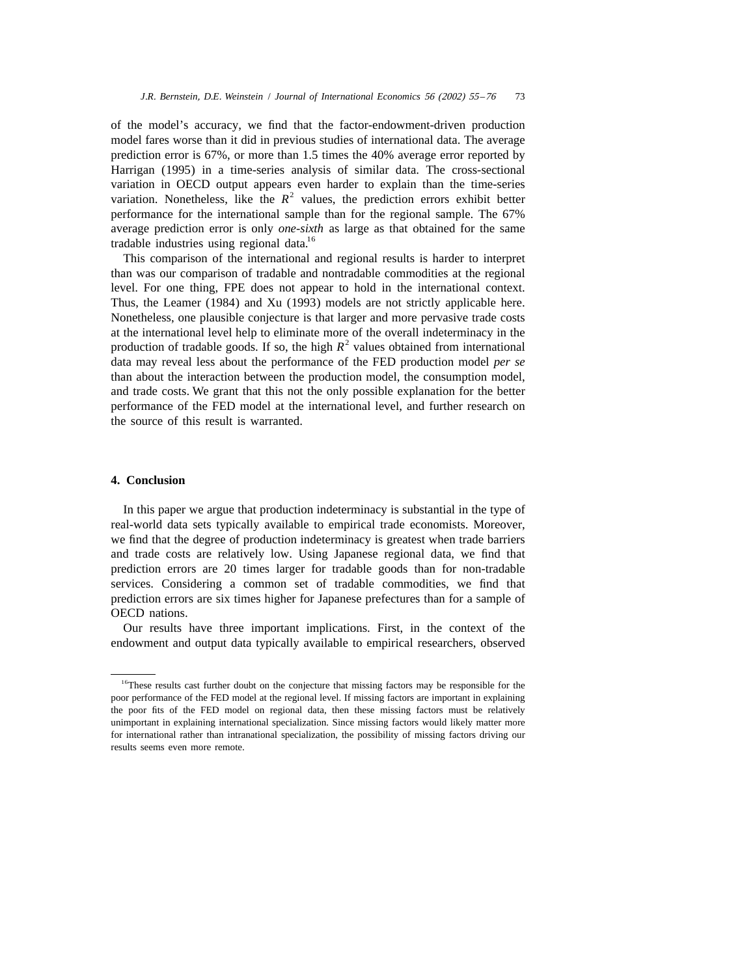of the model's accuracy, we find that the factor-endowment-driven production model fares worse than it did in previous studies of international data. The average prediction error is 67%, or more than 1.5 times the 40% average error reported by Harrigan (1995) in a time-series analysis of similar data. The cross-sectional variation in OECD output appears even harder to explain than the time-series variation. Nonetheless, like the  $R<sup>2</sup>$  values, the prediction errors exhibit better performance for the international sample than for the regional sample. The 67% average prediction error is only *one-sixth* as large as that obtained for the same tradable industries using regional data.<sup>16</sup>

This comparison of the international and regional results is harder to interpret than was our comparison of tradable and nontradable commodities at the regional level. For one thing, FPE does not appear to hold in the international context. Thus, the Leamer (1984) and Xu (1993) models are not strictly applicable here. Nonetheless, one plausible conjecture is that larger and more pervasive trade costs at the international level help to eliminate more of the overall indeterminacy in the production of tradable goods. If so, the high  $R<sup>2</sup>$  values obtained from international data may reveal less about the performance of the FED production model *per se* than about the interaction between the production model, the consumption model, and trade costs. We grant that this not the only possible explanation for the better performance of the FED model at the international level, and further research on the source of this result is warranted.

### **4. Conclusion**

In this paper we argue that production indeterminacy is substantial in the type of real-world data sets typically available to empirical trade economists. Moreover, we find that the degree of production indeterminacy is greatest when trade barriers and trade costs are relatively low. Using Japanese regional data, we find that prediction errors are 20 times larger for tradable goods than for non-tradable services. Considering a common set of tradable commodities, we find that prediction errors are six times higher for Japanese prefectures than for a sample of OECD nations.

Our results have three important implications. First, in the context of the endowment and output data typically available to empirical researchers, observed

<sup>&</sup>lt;sup>16</sup>These results cast further doubt on the conjecture that missing factors may be responsible for the poor performance of the FED model at the regional level. If missing factors are important in explaining the poor fits of the FED model on regional data, then these missing factors must be relatively unimportant in explaining international specialization. Since missing factors would likely matter more for international rather than intranational specialization, the possibility of missing factors driving our results seems even more remote.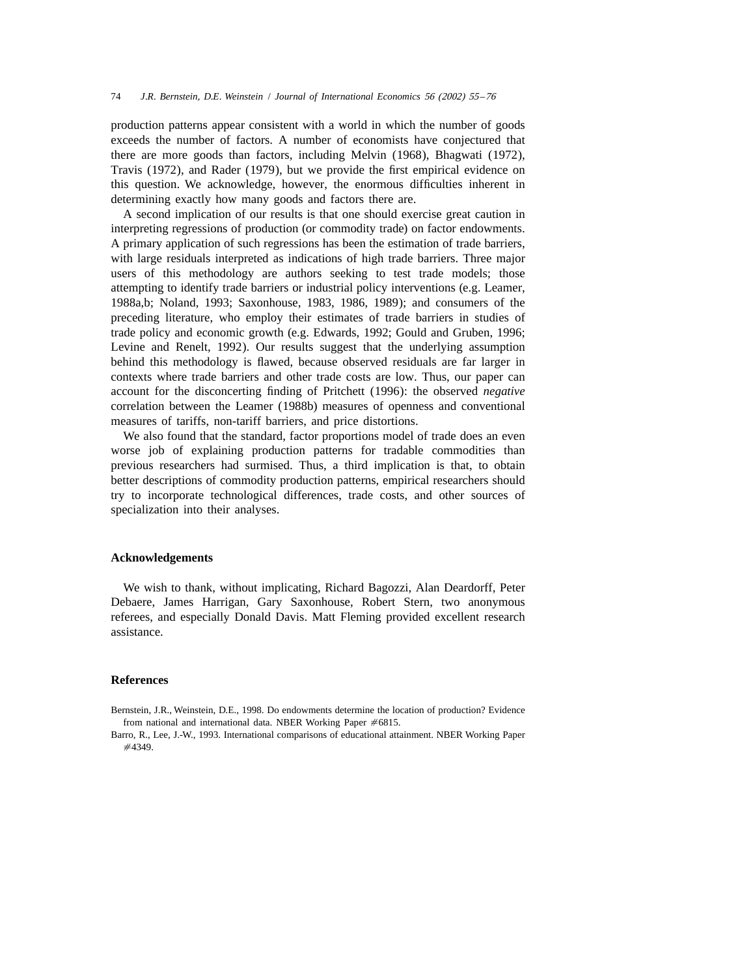production patterns appear consistent with a world in which the number of goods exceeds the number of factors. A number of economists have conjectured that there are more goods than factors, including Melvin (1968), Bhagwati (1972), Travis (1972), and Rader (1979), but we provide the first empirical evidence on this question. We acknowledge, however, the enormous difficulties inherent in determining exactly how many goods and factors there are.

A second implication of our results is that one should exercise great caution in interpreting regressions of production (or commodity trade) on factor endowments. A primary application of such regressions has been the estimation of trade barriers, with large residuals interpreted as indications of high trade barriers. Three major users of this methodology are authors seeking to test trade models; those attempting to identify trade barriers or industrial policy interventions (e.g. Leamer, 1988a,b; Noland, 1993; Saxonhouse, 1983, 1986, 1989); and consumers of the preceding literature, who employ their estimates of trade barriers in studies of trade policy and economic growth (e.g. Edwards, 1992; Gould and Gruben, 1996; Levine and Renelt, 1992). Our results suggest that the underlying assumption behind this methodology is flawed, because observed residuals are far larger in contexts where trade barriers and other trade costs are low. Thus, our paper can account for the disconcerting finding of Pritchett (1996): the observed *negative* correlation between the Leamer (1988b) measures of openness and conventional measures of tariffs, non-tariff barriers, and price distortions.

We also found that the standard, factor proportions model of trade does an even worse job of explaining production patterns for tradable commodities than previous researchers had surmised. Thus, a third implication is that, to obtain better descriptions of commodity production patterns, empirical researchers should try to incorporate technological differences, trade costs, and other sources of specialization into their analyses.

### **Acknowledgements**

We wish to thank, without implicating, Richard Bagozzi, Alan Deardorff, Peter Debaere, James Harrigan, Gary Saxonhouse, Robert Stern, two anonymous referees, and especially Donald Davis. Matt Fleming provided excellent research assistance.

### **References**

Bernstein, J.R., Weinstein, D.E., 1998. Do endowments determine the location of production? Evidence from national and international data. NBER Working Paper  $\#6815$ .

Barro, R., Lee, J.-W., 1993. International comparisons of educational attainment. NBER Working Paper #4349.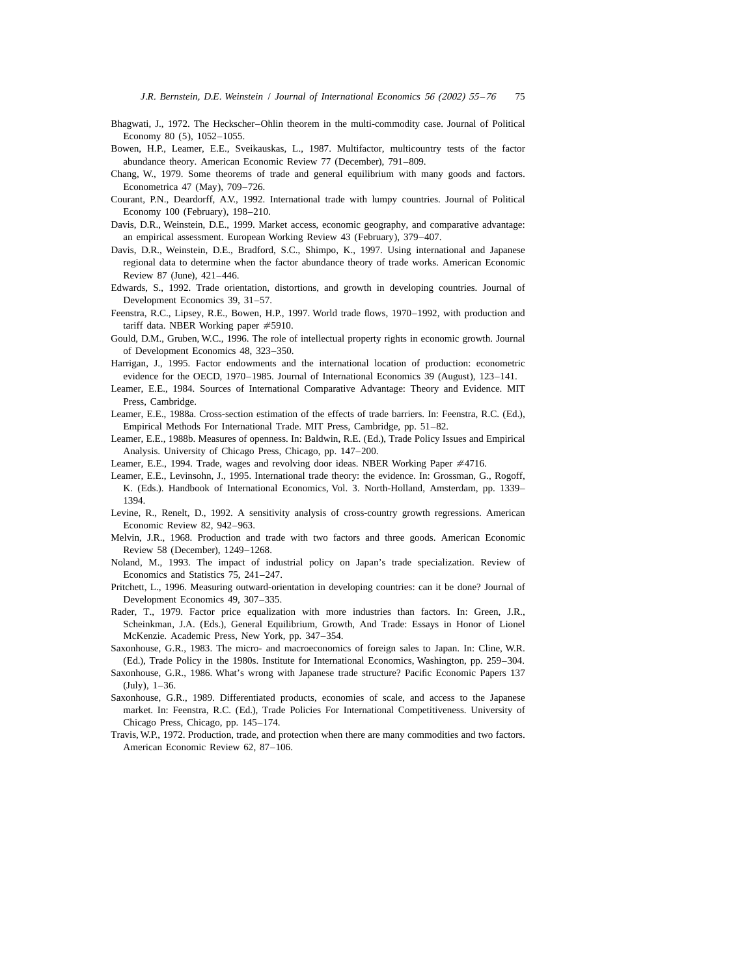- Bhagwati, J., 1972. The Heckscher–Ohlin theorem in the multi-commodity case. Journal of Political Economy 80 (5), 1052–1055.
- Bowen, H.P., Leamer, E.E., Sveikauskas, L., 1987. Multifactor, multicountry tests of the factor abundance theory. American Economic Review 77 (December), 791–809.
- Chang, W., 1979. Some theorems of trade and general equilibrium with many goods and factors. Econometrica 47 (May), 709–726.
- Courant, P.N., Deardorff, A.V., 1992. International trade with lumpy countries. Journal of Political Economy 100 (February), 198–210.
- Davis, D.R., Weinstein, D.E., 1999. Market access, economic geography, and comparative advantage: an empirical assessment. European Working Review 43 (February), 379–407.
- Davis, D.R., Weinstein, D.E., Bradford, S.C., Shimpo, K., 1997. Using international and Japanese regional data to determine when the factor abundance theory of trade works. American Economic Review 87 (June), 421–446.
- Edwards, S., 1992. Trade orientation, distortions, and growth in developing countries. Journal of Development Economics 39, 31–57.
- Feenstra, R.C., Lipsey, R.E., Bowen, H.P., 1997. World trade flows, 1970–1992, with production and tariff data. NBER Working paper  $\#5910$ .
- Gould, D.M., Gruben, W.C., 1996. The role of intellectual property rights in economic growth. Journal of Development Economics 48, 323–350.
- Harrigan, J., 1995. Factor endowments and the international location of production: econometric evidence for the OECD, 1970–1985. Journal of International Economics 39 (August), 123–141.
- Leamer, E.E., 1984. Sources of International Comparative Advantage: Theory and Evidence. MIT Press, Cambridge.
- Leamer, E.E., 1988a. Cross-section estimation of the effects of trade barriers. In: Feenstra, R.C. (Ed.), Empirical Methods For International Trade. MIT Press, Cambridge, pp. 51–82.
- Leamer, E.E., 1988b. Measures of openness. In: Baldwin, R.E. (Ed.), Trade Policy Issues and Empirical Analysis. University of Chicago Press, Chicago, pp. 147–200.
- Leamer, E.E., 1994. Trade, wages and revolving door ideas. NBER Working Paper  $\#4716$ .
- Leamer, E.E., Levinsohn, J., 1995. International trade theory: the evidence. In: Grossman, G., Rogoff, K. (Eds.). Handbook of International Economics, Vol. 3. North-Holland, Amsterdam, pp. 1339– 1394.
- Levine, R., Renelt, D., 1992. A sensitivity analysis of cross-country growth regressions. American Economic Review 82, 942–963.
- Melvin, J.R., 1968. Production and trade with two factors and three goods. American Economic Review 58 (December), 1249–1268.
- Noland, M., 1993. The impact of industrial policy on Japan's trade specialization. Review of Economics and Statistics 75, 241–247.
- Pritchett, L., 1996. Measuring outward-orientation in developing countries: can it be done? Journal of Development Economics 49, 307–335.
- Rader, T., 1979. Factor price equalization with more industries than factors. In: Green, J.R., Scheinkman, J.A. (Eds.), General Equilibrium, Growth, And Trade: Essays in Honor of Lionel McKenzie. Academic Press, New York, pp. 347–354.
- Saxonhouse, G.R., 1983. The micro- and macroeconomics of foreign sales to Japan. In: Cline, W.R. (Ed.), Trade Policy in the 1980s. Institute for International Economics, Washington, pp. 259–304.
- Saxonhouse, G.R., 1986. What's wrong with Japanese trade structure? Pacific Economic Papers 137 (July), 1–36.
- Saxonhouse, G.R., 1989. Differentiated products, economies of scale, and access to the Japanese market. In: Feenstra, R.C. (Ed.), Trade Policies For International Competitiveness. University of Chicago Press, Chicago, pp. 145–174.
- Travis, W.P., 1972. Production, trade, and protection when there are many commodities and two factors. American Economic Review 62, 87–106.